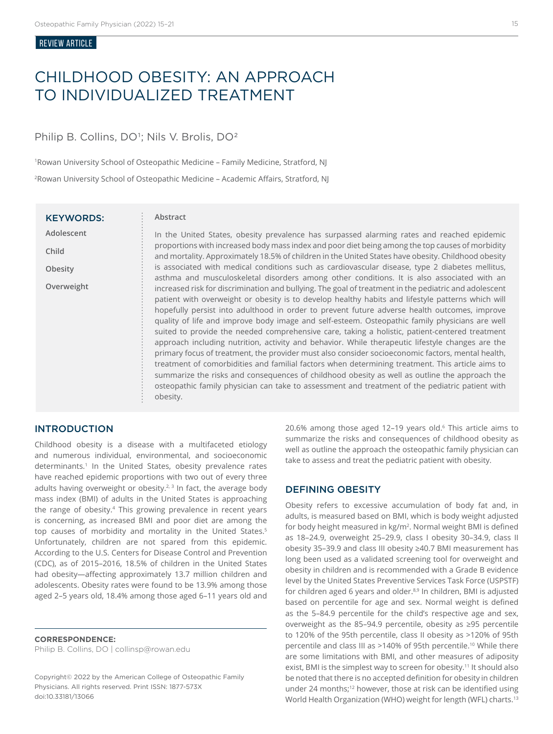#### Review ARTICLE

# CHILDHOOD OBESITY: AN APPROACH TO INDIVIDUALIZED TREATMENT

# Philip B. Collins, DO<sup>1</sup>; Nils V. Brolis, DO<sup>2</sup>

1Rowan University School of Osteopathic Medicine – Family Medicine, Stratford, NJ <sup>2</sup>Rowan University School of Osteopathic Medicine – Academic Affairs, Stratford, NJ

| <b>KEYWORDS:</b> |  |  |  |
|------------------|--|--|--|
| Adolescent       |  |  |  |
| Child            |  |  |  |
| Obesity          |  |  |  |
| Overweight       |  |  |  |
|                  |  |  |  |
|                  |  |  |  |
|                  |  |  |  |
|                  |  |  |  |
|                  |  |  |  |
|                  |  |  |  |
|                  |  |  |  |
|                  |  |  |  |

#### **Abstract**

In the United States, obesity prevalence has surpassed alarming rates and reached epidemic proportions with increased body mass index and poor diet being among the top causes of morbidity and mortality. Approximately 18.5% of children in the United States have obesity. Childhood obesity is associated with medical conditions such as cardiovascular disease, type 2 diabetes mellitus, asthma and musculoskeletal disorders among other conditions. It is also associated with an increased risk for discrimination and bullying. The goal of treatment in the pediatric and adolescent patient with overweight or obesity is to develop healthy habits and lifestyle patterns which will hopefully persist into adulthood in order to prevent future adverse health outcomes, improve quality of life and improve body image and self-esteem. Osteopathic family physicians are well suited to provide the needed comprehensive care, taking a holistic, patient-centered treatment approach including nutrition, activity and behavior. While therapeutic lifestyle changes are the primary focus of treatment, the provider must also consider socioeconomic factors, mental health, treatment of comorbidities and familial factors when determining treatment. This article aims to summarize the risks and consequences of childhood obesity as well as outline the approach the osteopathic family physician can take to assessment and treatment of the pediatric patient with obesity.

# INTRODUCTION

Childhood obesity is a disease with a multifaceted etiology and numerous individual, environmental, and socioeconomic determinants.<sup>1</sup> In the United States, obesity prevalence rates have reached epidemic proportions with two out of every three adults having overweight or obesity. $2,3$  In fact, the average body mass index (BMI) of adults in the United States is approaching the range of obesity.<sup>4</sup> This growing prevalence in recent years is concerning, as increased BMI and poor diet are among the top causes of morbidity and mortality in the United States.<sup>5</sup> Unfortunately, children are not spared from this epidemic. According to the U.S. Centers for Disease Control and Prevention (CDC), as of 2015–2016, 18.5% of children in the United States had obesity—affecting approximately 13.7 million children and adolescents. Obesity rates were found to be 13.9% among those aged 2–5 years old, 18.4% among those aged 6–11 years old and

**CORRESPONDENCE:**  Philip B. Collins, DO | collinsp@rowan.edu

Copyright© 2022 by the American College of Osteopathic Family Physicians. All rights reserved. Print ISSN: 1877-573X doi:10.33181/13066

20.6% among those aged 12-19 years old.<sup>6</sup> This article aims to summarize the risks and consequences of childhood obesity as well as outline the approach the osteopathic family physician can take to assess and treat the pediatric patient with obesity.

## DEFINING OBESITY

Obesity refers to excessive accumulation of body fat and, in adults, is measured based on BMI, which is body weight adjusted for body height measured in kg/m<sup>2</sup>. Normal weight BMI is defined as 18–24.9, overweight 25–29.9, class I obesity 30–34.9, class II obesity 35–39.9 and class III obesity ≥40.7 BMI measurement has long been used as a validated screening tool for overweight and obesity in children and is recommended with a Grade B evidence level by the United States Preventive Services Task Force (USPSTF) for children aged 6 years and older.<sup>8,9</sup> In children, BMI is adjusted based on percentile for age and sex. Normal weight is defined as the 5–84.9 percentile for the child's respective age and sex, overweight as the 85–94.9 percentile, obesity as ≥95 percentile to 120% of the 95th percentile, class II obesity as >120% of 95th percentile and class III as >140% of 95th percentile.10 While there are some limitations with BMI, and other measures of adiposity exist, BMI is the simplest way to screen for obesity.<sup>11</sup> It should also be noted that there is no accepted definition for obesity in children under 24 months;<sup>12</sup> however, those at risk can be identified using World Health Organization (WHO) weight for length (WFL) charts.<sup>13</sup>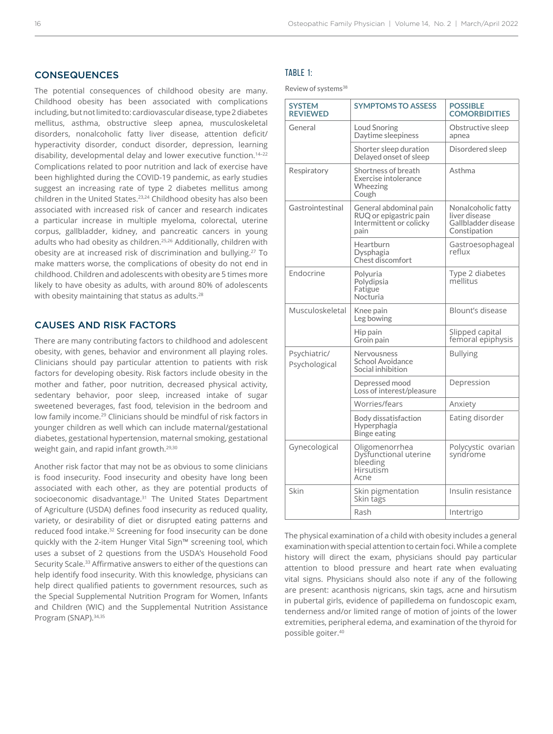# **CONSEQUENCES**

The potential consequences of childhood obesity are many. Childhood obesity has been associated with complications including, but not limited to: cardiovascular disease, type 2 diabetes mellitus, asthma, obstructive sleep apnea, musculoskeletal disorders, nonalcoholic fatty liver disease, attention deficit/ hyperactivity disorder, conduct disorder, depression, learning disability, developmental delay and lower executive function.14–22 Complications related to poor nutrition and lack of exercise have been highlighted during the COVID-19 pandemic, as early studies suggest an increasing rate of type 2 diabetes mellitus among children in the United States.<sup>23,24</sup> Childhood obesity has also been associated with increased risk of cancer and research indicates a particular increase in multiple myeloma, colorectal, uterine corpus, gallbladder, kidney, and pancreatic cancers in young adults who had obesity as children.25,26 Additionally, children with obesity are at increased risk of discrimination and bullying.<sup>27</sup> To make matters worse, the complications of obesity do not end in childhood. Children and adolescents with obesity are 5 times more likely to have obesity as adults, with around 80% of adolescents with obesity maintaining that status as adults.<sup>28</sup>

## CAUSES AND RISK FACTORS

There are many contributing factors to childhood and adolescent obesity, with genes, behavior and environment all playing roles. Clinicians should pay particular attention to patients with risk factors for developing obesity. Risk factors include obesity in the mother and father, poor nutrition, decreased physical activity, sedentary behavior, poor sleep, increased intake of sugar sweetened beverages, fast food, television in the bedroom and low family income.29 Clinicians should be mindful of risk factors in younger children as well which can include maternal/gestational diabetes, gestational hypertension, maternal smoking, gestational weight gain, and rapid infant growth.29,30

Another risk factor that may not be as obvious to some clinicians is food insecurity. Food insecurity and obesity have long been associated with each other, as they are potential products of socioeconomic disadvantage.<sup>31</sup> The United States Department of Agriculture (USDA) defines food insecurity as reduced quality, variety, or desirability of diet or disrupted eating patterns and reduced food intake.32 Screening for food insecurity can be done quickly with the 2-item Hunger Vital Sign™ screening tool, which uses a subset of 2 questions from the USDA's Household Food Security Scale.33 Affirmative answers to either of the questions can help identify food insecurity. With this knowledge, physicians can help direct qualified patients to government resources, such as the Special Supplemental Nutrition Program for Women, Infants and Children (WIC) and the Supplemental Nutrition Assistance Program (SNAP).34,35

## TABLE 1:

Review of systems<sup>38</sup>

|  | <b>SYSTEM</b><br><b>REVIEWED</b> | <b>SYMPTOMS TO ASSESS</b>                                                           | <b>POSSIBLE</b><br><b>COMORBIDITIES</b>                                    |
|--|----------------------------------|-------------------------------------------------------------------------------------|----------------------------------------------------------------------------|
|  | General                          | <b>Loud Snoring</b><br>Daytime sleepiness                                           | Obstructive sleep<br>apnea                                                 |
|  |                                  | Shorter sleep duration<br>Delaved onset of sleep                                    | Disordered sleep                                                           |
|  | Respiratory                      | Shortness of breath<br>Exercise intolerance<br>Wheezing<br>Cough                    | Asthma                                                                     |
|  | Gastrointestinal                 | General abdominal pain<br>RUQ or epigastric pain<br>Intermittent or colicky<br>pain | Nonalcoholic fatty<br>liver disease<br>Gallbladder disease<br>Constipation |
|  |                                  | Heartburn<br>Dysphagia<br>Chest discomfort                                          | Gastroesophageal<br>reflux                                                 |
|  | Endocrine                        | Polyuria<br>Polydipsia<br>Fatigue<br>Nocturia                                       | Type 2 diabetes<br>mellitus                                                |
|  | Musculoskeletal                  | Knee pain<br>Leg bowing                                                             | Blount's disease                                                           |
|  |                                  | Hip pain<br>Groin pain                                                              | Slipped capital<br>femoral epiphysis                                       |
|  | Psychiatric/<br>Psychological    | Nervousness<br><b>School Avoidance</b><br>Social inhibition                         | <b>Bullying</b>                                                            |
|  |                                  | Depressed mood<br>Loss of interest/pleasure                                         | Depression                                                                 |
|  |                                  | Worries/fears                                                                       | Anxiety                                                                    |
|  |                                  | Body dissatisfaction<br>Hyperphagia<br><b>Binge eating</b>                          | Eating disorder                                                            |
|  | Gynecological                    | Oligomenorrhea<br>Dysfunctional uterine<br>bleeding<br>Hirsutism<br>Acne            | Polycystic ovarian<br>syndrome                                             |
|  | Skin                             | Skin pigmentation<br>Skin tags                                                      | Insulin resistance                                                         |
|  |                                  | Rash                                                                                | Intertrigo                                                                 |

The physical examination of a child with obesity includes a general examination with special attention to certain foci. While a complete history will direct the exam, physicians should pay particular attention to blood pressure and heart rate when evaluating vital signs. Physicians should also note if any of the following are present: acanthosis nigricans, skin tags, acne and hirsutism in pubertal girls, evidence of papilledema on fundoscopic exam, tenderness and/or limited range of motion of joints of the lower extremities, peripheral edema, and examination of the thyroid for possible goiter.40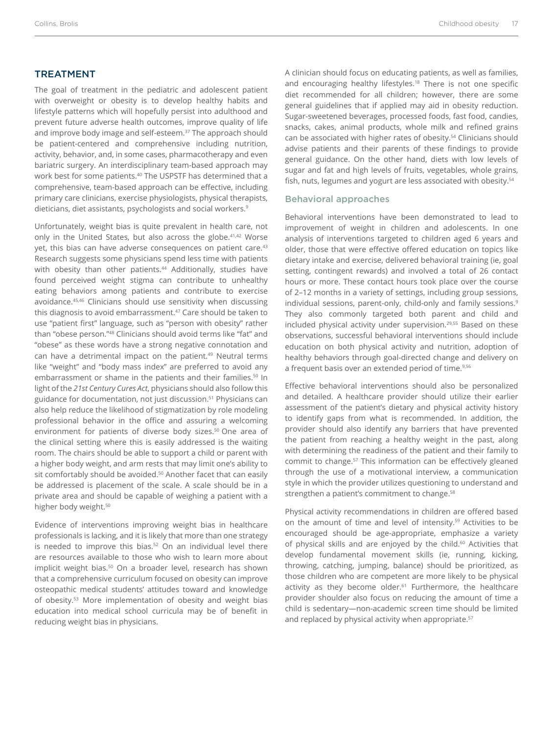# TREATMENT

The goal of treatment in the pediatric and adolescent patient with overweight or obesity is to develop healthy habits and lifestyle patterns which will hopefully persist into adulthood and prevent future adverse health outcomes, improve quality of life and improve body image and self-esteem.<sup>37</sup> The approach should be patient-centered and comprehensive including nutrition, activity, behavior, and, in some cases, pharmacotherapy and even bariatric surgery. An interdisciplinary team-based approach may work best for some patients.<sup>40</sup> The USPSTF has determined that a comprehensive, team-based approach can be effective, including primary care clinicians, exercise physiologists, physical therapists, dieticians, diet assistants, psychologists and social workers.<sup>9</sup>

Unfortunately, weight bias is quite prevalent in health care, not only in the United States, but also across the globe.41,42 Worse yet, this bias can have adverse consequences on patient care.<sup>43</sup> Research suggests some physicians spend less time with patients with obesity than other patients.<sup>44</sup> Additionally, studies have found perceived weight stigma can contribute to unhealthy eating behaviors among patients and contribute to exercise avoidance.45,46 Clinicians should use sensitivity when discussing this diagnosis to avoid embarrassment.<sup>47</sup> Care should be taken to use "patient first" language, such as "person with obesity" rather than "obese person."<sup>48</sup> Clinicians should avoid terms like "fat" and "obese" as these words have a strong negative connotation and can have a detrimental impact on the patient.<sup>49</sup> Neutral terms like "weight" and "body mass index" are preferred to avoid any embarrassment or shame in the patients and their families.<sup>50</sup> In light of the *21st Century Cures Act*, physicians should also follow this guidance for documentation, not just discussion.51 Physicians can also help reduce the likelihood of stigmatization by role modeling professional behavior in the office and assuring a welcoming environment for patients of diverse body sizes.<sup>50</sup> One area of the clinical setting where this is easily addressed is the waiting room. The chairs should be able to support a child or parent with a higher body weight, and arm rests that may limit one's ability to sit comfortably should be avoided.<sup>50</sup> Another facet that can easily be addressed is placement of the scale. A scale should be in a private area and should be capable of weighing a patient with a higher body weight.<sup>50</sup>

Evidence of interventions improving weight bias in healthcare professionals is lacking, and it is likely that more than one strategy is needed to improve this bias.<sup>52</sup> On an individual level there are resources available to those who wish to learn more about implicit weight bias.<sup>50</sup> On a broader level, research has shown that a comprehensive curriculum focused on obesity can improve osteopathic medical students' attitudes toward and knowledge of obesity.53 More implementation of obesity and weight bias education into medical school curricula may be of benefit in reducing weight bias in physicians.

A clinician should focus on educating patients, as well as families, and encouraging healthy lifestyles.<sup>18</sup> There is not one specific diet recommended for all children; however, there are some general guidelines that if applied may aid in obesity reduction. Sugar-sweetened beverages, processed foods, fast food, candies, snacks, cakes, animal products, whole milk and refined grains can be associated with higher rates of obesity.<sup>54</sup> Clinicians should advise patients and their parents of these findings to provide general guidance. On the other hand, diets with low levels of sugar and fat and high levels of fruits, vegetables, whole grains, fish, nuts, legumes and yogurt are less associated with obesity.<sup>54</sup>

## Behavioral approaches

Behavioral interventions have been demonstrated to lead to improvement of weight in children and adolescents. In one analysis of interventions targeted to children aged 6 years and older, those that were effective offered education on topics like dietary intake and exercise, delivered behavioral training (ie, goal setting, contingent rewards) and involved a total of 26 contact hours or more. These contact hours took place over the course of 2–12 months in a variety of settings, including group sessions, individual sessions, parent-only, child-only and family sessions.<sup>9</sup> They also commonly targeted both parent and child and included physical activity under supervision.29,55 Based on these observations, successful behavioral interventions should include education on both physical activity and nutrition, adoption of healthy behaviors through goal-directed change and delivery on a frequent basis over an extended period of time.<sup>9,56</sup>

Effective behavioral interventions should also be personalized and detailed. A healthcare provider should utilize their earlier assessment of the patient's dietary and physical activity history to identify gaps from what is recommended. In addition, the provider should also identify any barriers that have prevented the patient from reaching a healthy weight in the past, along with determining the readiness of the patient and their family to commit to change.<sup>57</sup> This information can be effectively gleaned through the use of a motivational interview, a communication style in which the provider utilizes questioning to understand and strengthen a patient's commitment to change.<sup>58</sup>

Physical activity recommendations in children are offered based on the amount of time and level of intensity.<sup>59</sup> Activities to be encouraged should be age-appropriate, emphasize a variety of physical skills and are enjoyed by the child.<sup>60</sup> Activities that develop fundamental movement skills (ie, running, kicking, throwing, catching, jumping, balance) should be prioritized, as those children who are competent are more likely to be physical activity as they become older.<sup>61</sup> Furthermore, the healthcare provider shoulder also focus on reducing the amount of time a child is sedentary—non-academic screen time should be limited and replaced by physical activity when appropriate.<sup>57</sup>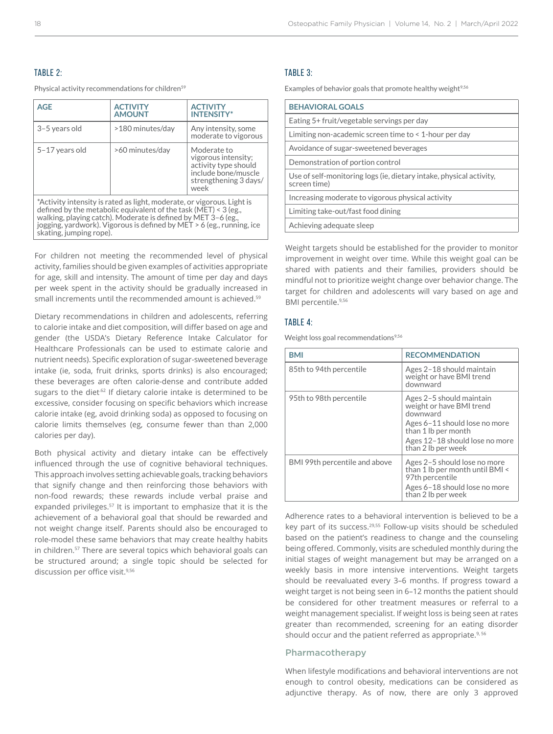## TABLE 2:

Physical activity recommendations for children<sup>59</sup>

| <b>AGE</b>                                                                                                                                                                                                                                                                                                       | <b>ACTIVITY</b><br><b>AMOUNT</b> | <b>ACTIVITY</b><br><b>INTENSITY*</b>                                                                               |
|------------------------------------------------------------------------------------------------------------------------------------------------------------------------------------------------------------------------------------------------------------------------------------------------------------------|----------------------------------|--------------------------------------------------------------------------------------------------------------------|
| 3-5 years old                                                                                                                                                                                                                                                                                                    | >180 minutes/day                 | Any intensity, some<br>moderate to vigorous                                                                        |
| 5-17 years old                                                                                                                                                                                                                                                                                                   | >60 minutes/day                  | Moderate to<br>vigorous intensity;<br>activity type should<br>include bone/muscle<br>strengthening 3 days/<br>week |
| *Activity intensity is rated as light, moderate, or vigorous. Light is<br>defined by the metabolic equivalent of the task (MET) < $3$ (eg.,<br>walking, playing catch). Moderate is defined by MET 3-6 (eg.,<br>jogging, yardwork). Vigorous is defined by MET > 6 (eg., running, ice<br>skating, jumping rope). |                                  |                                                                                                                    |

For children not meeting the recommended level of physical activity, families should be given examples of activities appropriate for age, skill and intensity. The amount of time per day and days per week spent in the activity should be gradually increased in small increments until the recommended amount is achieved.<sup>59</sup>

Dietary recommendations in children and adolescents, referring to calorie intake and diet composition, will differ based on age and gender (the USDA's Dietary Reference Intake Calculator for Healthcare Professionals can be used to estimate calorie and nutrient needs). Specific exploration of sugar-sweetened beverage intake (ie, soda, fruit drinks, sports drinks) is also encouraged; these beverages are often calorie-dense and contribute added sugars to the diet<sup>.62</sup> If dietary calorie intake is determined to be excessive, consider focusing on specific behaviors which increase calorie intake (eg, avoid drinking soda) as opposed to focusing on calorie limits themselves (eg, consume fewer than than 2,000 calories per day).

Both physical activity and dietary intake can be effectively influenced through the use of cognitive behavioral techniques. This approach involves setting achievable goals, tracking behaviors that signify change and then reinforcing those behaviors with non-food rewards; these rewards include verbal praise and expanded privileges.<sup>57</sup> It is important to emphasize that it is the achievement of a behavioral goal that should be rewarded and not weight change itself. Parents should also be encouraged to role-model these same behaviors that may create healthy habits in children.<sup>57</sup> There are several topics which behavioral goals can be structured around; a single topic should be selected for discussion per office visit.<sup>9,56</sup>

#### TABLE 3:

Examples of behavior goals that promote healthy weight $9,56$ 

| <b>BEHAVIORAL GOALS</b>                                                             |  |  |
|-------------------------------------------------------------------------------------|--|--|
| Eating 5+ fruit/vegetable servings per day                                          |  |  |
| Limiting non-academic screen time to $\leq 1$ -hour per day                         |  |  |
| Avoidance of sugar-sweetened beverages                                              |  |  |
| Demonstration of portion control                                                    |  |  |
| Use of self-monitoring logs (ie, dietary intake, physical activity,<br>screen time) |  |  |
| Increasing moderate to vigorous physical activity                                   |  |  |
| Limiting take-out/fast food dining                                                  |  |  |
| Achieving adequate sleep                                                            |  |  |

Weight targets should be established for the provider to monitor improvement in weight over time. While this weight goal can be shared with patients and their families, providers should be mindful not to prioritize weight change over behavior change. The target for children and adolescents will vary based on age and BMI percentile.9,56

## TABLE 4:

Weight loss goal recommendations<sup>9,56</sup>

| BMI                           | <b>RECOMMENDATION</b>                                                                                                                                                            |
|-------------------------------|----------------------------------------------------------------------------------------------------------------------------------------------------------------------------------|
| 85th to 94th percentile       | Ages 2-18 should maintain<br>weight or have BMI trend<br>downward                                                                                                                |
| 95th to 98th percentile       | Ages 2-5 should maintain<br>weight or have BMI trend<br>downward<br>Ages 6-11 should lose no more<br>than 1 lb per month<br>Ages 12-18 should lose no more<br>than 2 lb per week |
| BMI 99th percentile and above | Ages 2-5 should lose no more<br>than 1 lb per month until BMI <<br>97th percentile<br>Ages 6-18 should lose no more<br>than 2 lb per week                                        |

Adherence rates to a behavioral intervention is believed to be a key part of its success.<sup>29,55</sup> Follow-up visits should be scheduled based on the patient's readiness to change and the counseling being offered. Commonly, visits are scheduled monthly during the initial stages of weight management but may be arranged on a weekly basis in more intensive interventions. Weight targets should be reevaluated every 3–6 months. If progress toward a weight target is not being seen in 6–12 months the patient should be considered for other treatment measures or referral to a weight management specialist. If weight loss is being seen at rates greater than recommended, screening for an eating disorder should occur and the patient referred as appropriate.<sup>9, 56</sup>

## Pharmacotherapy

When lifestyle modifications and behavioral interventions are not enough to control obesity, medications can be considered as adjunctive therapy. As of now, there are only 3 approved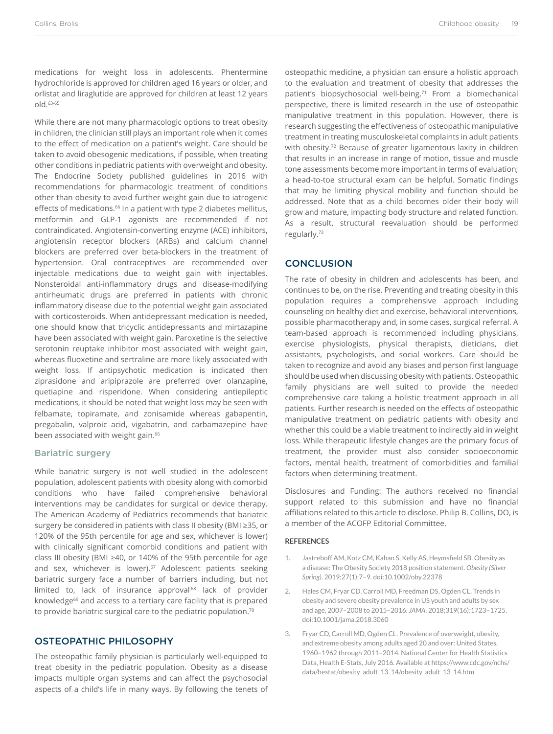medications for weight loss in adolescents. Phentermine hydrochloride is approved for children aged 16 years or older, and orlistat and liraglutide are approved for children at least 12 years old.63-65

While there are not many pharmacologic options to treat obesity in children, the clinician still plays an important role when it comes to the effect of medication on a patient's weight. Care should be taken to avoid obesogenic medications, if possible, when treating other conditions in pediatric patients with overweight and obesity. The Endocrine Society published guidelines in 2016 with recommendations for pharmacologic treatment of conditions other than obesity to avoid further weight gain due to iatrogenic effects of medications.<sup>66</sup> In a patient with type 2 diabetes mellitus, metformin and GLP-1 agonists are recommended if not contraindicated. Angiotensin-converting enzyme (ACE) inhibitors, angiotensin receptor blockers (ARBs) and calcium channel blockers are preferred over beta-blockers in the treatment of hypertension. Oral contraceptives are recommended over injectable medications due to weight gain with injectables. Nonsteroidal anti-inflammatory drugs and disease-modifying antirheumatic drugs are preferred in patients with chronic inflammatory disease due to the potential weight gain associated with corticosteroids. When antidepressant medication is needed, one should know that tricyclic antidepressants and mirtazapine have been associated with weight gain. Paroxetine is the selective serotonin reuptake inhibitor most associated with weight gain, whereas fluoxetine and sertraline are more likely associated with weight loss. If antipsychotic medication is indicated then ziprasidone and aripiprazole are preferred over olanzapine, quetiapine and risperidone. When considering antiepileptic medications, it should be noted that weight loss may be seen with felbamate, topiramate, and zonisamide whereas gabapentin, pregabalin, valproic acid, vigabatrin, and carbamazepine have been associated with weight gain.<sup>66</sup>

#### Bariatric surgery

While bariatric surgery is not well studied in the adolescent population, adolescent patients with obesity along with comorbid conditions who have failed comprehensive behavioral interventions may be candidates for surgical or device therapy. The American Academy of Pediatrics recommends that bariatric surgery be considered in patients with class II obesity (BMI ≥35, or 120% of the 95th percentile for age and sex, whichever is lower) with clinically significant comorbid conditions and patient with class III obesity (BMI ≥40, or 140% of the 95th percentile for age and sex, whichever is lower).<sup>67</sup> Adolescent patients seeking bariatric surgery face a number of barriers including, but not limited to, lack of insurance approval,<sup>68</sup> lack of provider knowledge<sup>69</sup> and access to a tertiary care facility that is prepared to provide bariatric surgical care to the pediatric population.<sup>70</sup>

# OSTEOPATHIC PHILOSOPHY

The osteopathic family physician is particularly well-equipped to treat obesity in the pediatric population. Obesity as a disease impacts multiple organ systems and can affect the psychosocial aspects of a child's life in many ways. By following the tenets of

osteopathic medicine, a physician can ensure a holistic approach to the evaluation and treatment of obesity that addresses the patient's biopsychosocial well-being.<sup>71</sup> From a biomechanical perspective, there is limited research in the use of osteopathic manipulative treatment in this population. However, there is research suggesting the effectiveness of osteopathic manipulative treatment in treating musculoskeletal complaints in adult patients with obesity.<sup>72</sup> Because of greater ligamentous laxity in children that results in an increase in range of motion, tissue and muscle tone assessments become more important in terms of evaluation; a head-to-toe structural exam can be helpful. Somatic findings that may be limiting physical mobility and function should be addressed. Note that as a child becomes older their body will grow and mature, impacting body structure and related function. As a result, structural reevaluation should be performed regularly.<sup>73</sup>

#### **CONCLUSION**

The rate of obesity in children and adolescents has been, and continues to be, on the rise. Preventing and treating obesity in this population requires a comprehensive approach including counseling on healthy diet and exercise, behavioral interventions, possible pharmacotherapy and, in some cases, surgical referral. A team-based approach is recommended including physicians, exercise physiologists, physical therapists, dieticians, diet assistants, psychologists, and social workers. Care should be taken to recognize and avoid any biases and person first language should be used when discussing obesity with patients. Osteopathic family physicians are well suited to provide the needed comprehensive care taking a holistic treatment approach in all patients. Further research is needed on the effects of osteopathic manipulative treatment on pediatric patients with obesity and whether this could be a viable treatment to indirectly aid in weight loss. While therapeutic lifestyle changes are the primary focus of treatment, the provider must also consider socioeconomic factors, mental health, treatment of comorbidities and familial factors when determining treatment.

Disclosures and Funding: The authors received no financial support related to this submission and have no financial affiliations related to this article to disclose. Philip B. Collins, DO, is a member of the ACOFP Editorial Committee.

#### **REFERENCES**

- 1. Jastreboff AM, Kotz CM, Kahan S, Kelly AS, Heymsfield SB. Obesity as a disease: The Obesity Society 2018 position statement. *Obesity (Silver Spring)*. 2019;27(1):7–9. doi:10.1002/oby.22378
- 2. Hales CM, Fryar CD, Carroll MD, Freedman DS, Ogden CL. Trends in obesity and severe obesity prevalence in US youth and adults by sex and age, 2007–2008 to 2015–2016. *JAMA*. 2018;319(16):1723–1725. doi:10.1001/jama.2018.3060
- 3. Fryar CD, Carroll MD, Ogden CL. Prevalence of overweight, obesity, and extreme obesity among adults aged 20 and over: United States, 1960–1962 through 2011–2014. National Center for Health Statistics Data, Health E-Stats, July 2016. Available at https://www.cdc.gov/nchs/ data/hestat/obesity\_adult\_13\_14/obesity\_adult\_13\_14.htm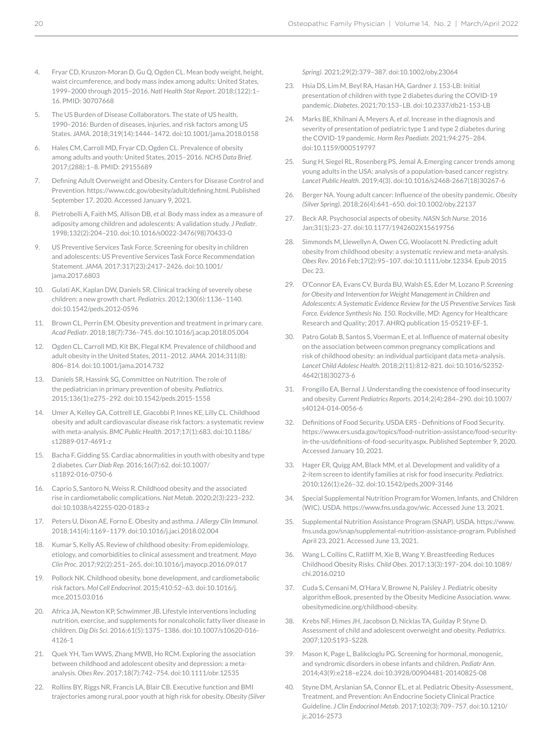- 4. Fryar CD, Kruszon-Moran D, Gu Q, Ogden CL. Mean body weight, height, waist circumference, and body mass index among adults: United States, 1999–2000 through 2015–2016. *Natl Health Stat Report*. 2018;(122):1– 16. PMID: 30707668
- The US Burden of Disease Collaborators. The state of US health, 1990–2016: Burden of diseases, injuries, and risk factors among US States. *JAMA*. 2018;319(14):1444–1472. doi:10.1001/jama.2018.0158
- 6. Hales CM, Carroll MD, Fryar CD, Ogden CL. Prevalence of obesity among adults and youth: United States, 2015–2016. *NCHS Data Brief.* 2017;(288):1–8. PMID: 29155689
- 7. Defining Adult Overweight and Obesity. Centers for Disease Control and Prevention. https://www.cdc.gov/obesity/adult/defining.html. Published September 17, 2020. Accessed January 9, 2021.
- 8. Pietrobelli A, Faith MS, Allison DB, *et al*. Body mass index as a measure of adiposity among children and adolescents: A validation study. *J Pediatr*. 1998;132(2):204–210. doi:10.1016/s0022-3476(98)70433-0
- 9. US Preventive Services Task Force. Screening for obesity in children and adolescents: US Preventive Services Task Force Recommendation Statement. *JAMA*. 2017;317(23):2417–2426. doi:10.1001/ jama.2017.6803
- 10. Gulati AK, Kaplan DW, Daniels SR. Clinical tracking of severely obese children: a new growth chart. *Pediatrics*. 2012;130(6):1136–1140. doi:10.1542/peds.2012-0596
- 11. Brown CL, Perrin EM. Obesity prevention and treatment in primary care. *Acad Pediatr*. 2018;18(7):736–745. doi:10.1016/j.acap.2018.05.004
- 12. Ogden CL, Carroll MD, Kit BK, Flegal KM. Prevalence of childhood and adult obesity in the United States, 2011–2012. *JAMA*. 2014;311(8): 806–814. doi:10.1001/jama.2014.732
- 13. Daniels SR, Hassink SG, Committee on Nutrition. The role of the pediatrician in primary prevention of obesity. *Pediatrics*. 2015;136(1):e275–292. doi:10.1542/peds.2015-1558
- 14. Umer A, Kelley GA, Cottrell LE, Giacobbi P, Innes KE, Lilly CL. Childhood obesity and adult cardiovascular disease risk factors: a systematic review with meta-analysis. *BMC Public Health*. 2017;17(1):683. doi:10.1186/ s12889-017-4691-z
- 15. Bacha F, Gidding SS. Cardiac abnormalities in youth with obesity and type 2 diabetes. *Curr Diab Rep*. 2016;16(7):62. doi:10.1007/ s11892-016-0750-6
- 16. Caprio S, Santoro N, Weiss R. Childhood obesity and the associated rise in cardiometabolic complications. *Nat Metab*. 2020;2(3):223–232. doi:10.1038/s42255-020-0183-z
- 17. Peters U, Dixon AE, Forno E. Obesity and asthma. *J Allergy Clin Immunol*. 2018;141(4):1169–1179. doi:10.1016/j.jaci.2018.02.004
- 18. Kumar S, Kelly AS. Review of childhood obesity: From epidemiology, etiology, and comorbidities to clinical assessment and treatment. *Mayo Clin Proc*. 2017;92(2):251–265. doi:10.1016/j.mayocp.2016.09.017
- 19. Pollock NK. Childhood obesity, bone development, and cardiometabolic risk factors. *Mol Cell Endocrinol*. 2015;410:52–63. doi:10.1016/j. mce.2015.03.016
- 20. Africa JA, Newton KP, Schwimmer JB. Lifestyle interventions including nutrition, exercise, and supplements for nonalcoholic fatty liver disease in children. *Dig Dis Sci*. 2016;61(5):1375–1386. doi:10.1007/s10620-016- 4126-1
- 21. Quek YH, Tam WWS, Zhang MWB, Ho RCM. Exploring the association between childhood and adolescent obesity and depression: a metaanalysis. *Obes Rev*. 2017;18(7):742–754. doi:10.1111/obr.12535
- 22. Rollins BY, Riggs NR, Francis LA, Blair CB. Executive function and BMI trajectories among rural, poor youth at high risk for obesity. *Obesity (Silver*

*Spring)*. 2021;29(2):379–387. doi:10.1002/oby.23064

- 23. Hsia DS, Lim M, Beyl RA, Hasan HA, Gardner J. 153-LB: Initial presentation of children with type 2 diabetes during the COVID-19 pandemic. *Diabetes*. 2021;70:153–LB. doi:10.2337/db21-153-LB
- 24. Marks BE, Khilnani A, Meyers A, *et al*. Increase in the diagnosis and severity of presentation of pediatric type 1 and type 2 diabetes during the COVID-19 pandemic. *Horm Res Paediatr.* 2021;94:275–284. doi:10.1159/000519797
- 25. Sung H, Siegel RL, Rosenberg PS, Jemal A. Emerging cancer trends among young adults in the USA: analysis of a population-based cancer registry. *Lancet Public Health*. 2019;4(3). doi:10.1016/s2468-2667(18)30267-6
- 26. Berger NA. Young adult cancer: Influence of the obesity pandemic. *Obesity (Silver Spring)*. 2018;26(4):641–650. doi:10.1002/oby.22137
- 27. Beck AR. Psychosocial aspects of obesity. *NASN Sch Nurse*. 2016 Jan;31(1):23–27. doi:10.1177/1942602X15619756
- Simmonds M, Llewellyn A, Owen CG, Woolacott N. Predicting adult obesity from childhood obesity: a systematic review and meta-analysis. *Obes Rev*. 2016 Feb;17(2):95–107. doi:10.1111/obr.12334. Epub 2015 Dec 23.
- 29. O'Connor EA, Evans CV, Burda BU, Walsh ES, Eder M, Lozano P. *Screening for Obesity and Intervention for Weight Management in Children and Adolescents: A Systematic Evidence Review for the US Preventive Services Task Force. Evidence Synthesis No. 150*. Rockville, MD: Agency for Healthcare Research and Quality; 2017. AHRQ publication 15-05219-EF-1.
- 30. Patro Golab B, Santos S, Voerman E, et al. Influence of maternal obesity on the association between common pregnancy complications and risk of childhood obesity: an individual participant data meta-analysis. *Lancet Child Adolesc Health*. 2018;2(11):812-821. doi:10.1016/S2352- 4642(18)30273-6
- 31. Frongillo EA, Bernal J. Understanding the coexistence of food insecurity and obesity. *Current Pediatrics Reports*. 2014;2(4):284–290. doi:10.1007/ s40124-014-0056-6
- 32. Definitions of Food Security. USDA ERS Definitions of Food Security. https://www.ers.usda.gov/topics/food-nutrition-assistance/food-securityin-the-us/definitions-of-food-security.aspx. Published September 9, 2020. Accessed January 10, 2021.
- 33. Hager ER, Quigg AM, Black MM, et al. Development and validity of a 2-item screen to identify families at risk for food insecurity. *Pediatrics*. 2010;126(1):e26–32. doi:10.1542/peds.2009-3146
- 34. Special Supplemental Nutrition Program for Women, Infants, and Children (WIC). USDA. https://www.fns.usda.gov/wic. Accessed June 13, 2021.
- 35. Supplemental Nutrition Assistance Program (SNAP). USDA. https://www. fns.usda.gov/snap/supplemental-nutrition-assistance-program. Published April 23, 2021. Accessed June 13, 2021.
- 36. Wang L, Collins C, Ratliff M, Xie B, Wang Y. Breastfeeding Reduces Childhood Obesity Risks. *Child Obes*. 2017;13(3):197–204. doi:10.1089/ chi.2016.0210
- 37. Cuda S, Censani M, O'Hara V, Browne N, Paisley J. Pediatric obesity algorithm eBook, presented by the Obesity Medicine Association. www. obesitymedicine.org/childhood-obesity.
- 38. Krebs NF, Himes JH, Jacobson D, Nicklas TA, Guilday P, Styne D. Assessment of child and adolescent overweight and obesity. *Pediatrics*. 2007;120:S193–S228.
- 39. Mason K, Page L, Balikcioglu PG. Screening for hormonal, monogenic, and syndromic disorders in obese infants and children. *Pediatr Ann*. 2014;43(9):e218–e224. doi:10.3928/00904481-20140825-08
- 40. Styne DM, Arslanian SA, Connor EL, et al. Pediatric Obesity-Assessment, Treatment, and Prevention: An Endocrine Society Clinical Practice Guideline. *J Clin Endocrinol Metab*. 2017;102(3):709–757. doi:10.1210/ jc.2016-2573